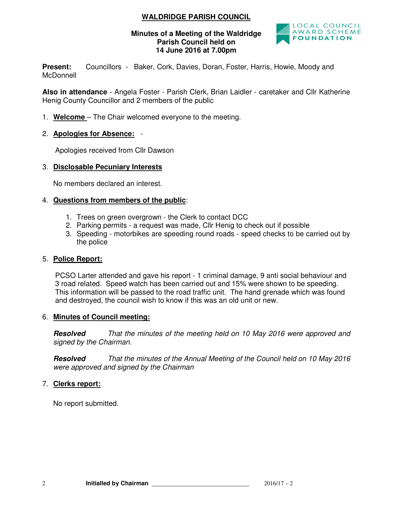# **WALDRIDGE PARISH COUNCIL**

#### **Minutes of a Meeting of the Waldridge Parish Council held on 14 June 2016 at 7.00pm**



**Present:** Councillors - Baker, Cork, Davies, Doran, Foster, Harris, Howie, Moody and **McDonnell** 

**Also in attendance** - Angela Foster - Parish Clerk, Brian Laidler - caretaker and Cllr Katherine Henig County Councillor and 2 members of the public

- 1. **Welcome**  The Chair welcomed everyone to the meeting.
- 2. **Apologies for Absence:** -

Apologies received from Cllr Dawson

#### 3. **Disclosable Pecuniary Interests**

No members declared an interest.

#### 4. **Questions from members of the public**:

- 1. Trees on green overgrown the Clerk to contact DCC
- 2. Parking permits a request was made, Cllr Henig to check out if possible
- 3. Speeding motorbikes are speeding round roads speed checks to be carried out by the police

#### 5. **Police Report:**

PCSO Larter attended and gave his report - 1 criminal damage, 9 anti social behaviour and 3 road related. Speed watch has been carried out and 15% were shown to be speeding. This information will be passed to the road traffic unit. The hand grenade which was found and destroyed, the council wish to know if this was an old unit or new.

#### 6. **Minutes of Council meeting:**

**Resolved** That the minutes of the meeting held on 10 May 2016 were approved and signed by the Chairman.

**Resolved** That the minutes of the Annual Meeting of the Council held on 10 May 2016 were approved and signed by the Chairman

#### 7. **Clerks report:**

No report submitted.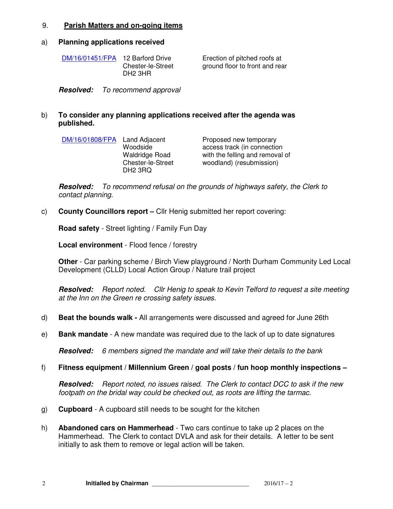#### 9. **Parish Matters and on-going items**

#### a) **Planning applications received**

| DM/16/01451/FPA | 12 Barford Drive    |
|-----------------|---------------------|
|                 | Chester-le-Street   |
|                 | DH <sub>2</sub> 3HR |

Erection of pitched roofs at ground floor to front and rear

**Resolved:** To recommend approval

#### b) **To consider any planning applications received after the agenda was published.**

| DM/16/01808/FPA Land Adjacent | Woodside<br><b>Waldridge Road</b><br><b>Chester-le-Street</b><br>DH <sub>2</sub> 3RQ | Proposed new temporary<br>access track (in connection<br>with the felling and removal of<br>woodland) (resubmission) |
|-------------------------------|--------------------------------------------------------------------------------------|----------------------------------------------------------------------------------------------------------------------|
|                               |                                                                                      |                                                                                                                      |

**Resolved:** To recommend refusal on the grounds of highways safety, the Clerk to contact planning.

c) **County Councillors report –** Cllr Henig submitted her report covering:

**Road safety** - Street lighting / Family Fun Day

**Local environment** - Flood fence / forestry

**Other** - Car parking scheme / Birch View playground / North Durham Community Led Local Development (CLLD) Local Action Group / Nature trail project

**Resolved:** Report noted. Cllr Henig to speak to Kevin Telford to request a site meeting at the Inn on the Green re crossing safety issues.

- d) **Beat the bounds walk -** All arrangements were discussed and agreed for June 26th
- e) **Bank mandate**  A new mandate was required due to the lack of up to date signatures

**Resolved:** 6 members signed the mandate and will take their details to the bank

#### f) **Fitness equipment / Millennium Green / goal posts / fun hoop monthly inspections –**

**Resolved:** Report noted, no issues raised. The Clerk to contact DCC to ask if the new footpath on the bridal way could be checked out, as roots are lifting the tarmac.

- g) **Cupboard**  A cupboard still needs to be sought for the kitchen
- h) **Abandoned cars on Hammerhead**  Two cars continue to take up 2 places on the Hammerhead. The Clerk to contact DVLA and ask for their details. A letter to be sent initially to ask them to remove or legal action will be taken.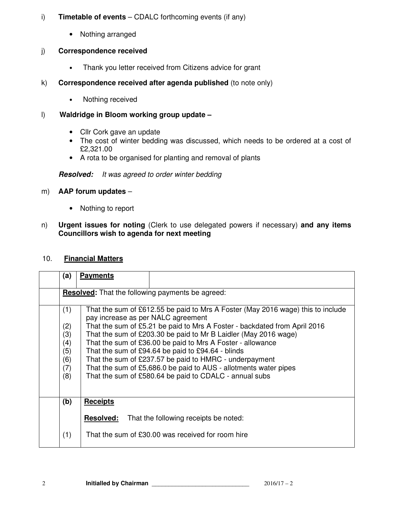### i) **Timetable of events** – CDALC forthcoming events (if any)

• Nothing arranged

# j) **Correspondence received**

- Thank you letter received from Citizens advice for grant
- k) **Correspondence received after agenda published** (to note only)
	- Nothing received

# l) **Waldridge in Bloom working group update –**

- Cllr Cork gave an update
- The cost of winter bedding was discussed, which needs to be ordered at a cost of £2,321.00
- A rota to be organised for planting and removal of plants

# **Resolved:** It was agreed to order winter bedding

# m) **AAP forum updates** –

- Nothing to report
- n) **Urgent issues for noting** (Clerk to use delegated powers if necessary) **and any items Councillors wish to agenda for next meeting**

### 10. **Financial Matters**

| (a)                                                     | <b>Payments</b>                                                                                                       |  |  |  |
|---------------------------------------------------------|-----------------------------------------------------------------------------------------------------------------------|--|--|--|
| <b>Resolved:</b> That the following payments be agreed: |                                                                                                                       |  |  |  |
| (1)                                                     | That the sum of £612.55 be paid to Mrs A Foster (May 2016 wage) this to include<br>pay increase as per NALC agreement |  |  |  |
| (2)                                                     | That the sum of £5.21 be paid to Mrs A Foster - backdated from April 2016                                             |  |  |  |
| (3)                                                     | That the sum of £203.30 be paid to Mr B Laidler (May 2016 wage)                                                       |  |  |  |
| (4)                                                     | That the sum of £36.00 be paid to Mrs A Foster - allowance                                                            |  |  |  |
| (5)                                                     | That the sum of £94.64 be paid to £94.64 - blinds                                                                     |  |  |  |
| (6)                                                     | That the sum of £237.57 be paid to HMRC - underpayment                                                                |  |  |  |
| (7)                                                     | That the sum of £5,686.0 be paid to AUS - allotments water pipes                                                      |  |  |  |
| (8)                                                     | That the sum of £580.64 be paid to CDALC - annual subs                                                                |  |  |  |
|                                                         |                                                                                                                       |  |  |  |
| (b)                                                     | <b>Receipts</b>                                                                                                       |  |  |  |
|                                                         | <b>Resolved:</b><br>That the following receipts be noted:                                                             |  |  |  |
| (1)                                                     | That the sum of £30.00 was received for room hire                                                                     |  |  |  |